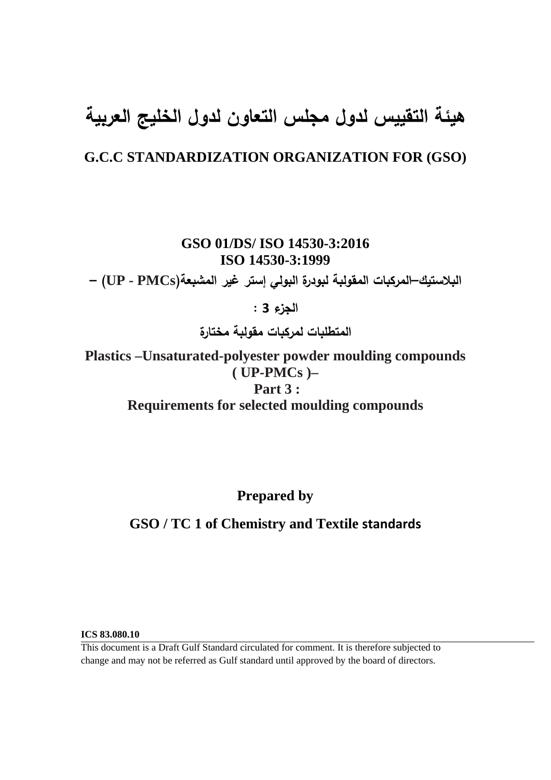# **هيئة التقييس لدول مجلس التعاون لدول الخليج العربية**

## **G.C.C STANDARDIZATION ORGANIZATION FOR (GSO)**

**GSO 01/DS/ ISO 14530-3:2016 ISO 14530-3:1999**

**البلاستيك–المركبات المقولبة لبودرة البولي إستر غير المشبعة(PMCs - UP – (**

**الجزء 3 :** 

**المتطلبات لمركبات مقولبة مختارة** 

**Plastics –Unsaturated-polyester powder moulding compounds ( UP-PMCs )– Part 3 : Requirements for selected moulding compounds** 

**Prepared by** 

## **GSO / TC 1 of Chemistry and Textile standards**

**ICS 83.080.10** 

This document is a Draft Gulf Standard circulated for comment. It is therefore subjected to change and may not be referred as Gulf standard until approved by the board of directors.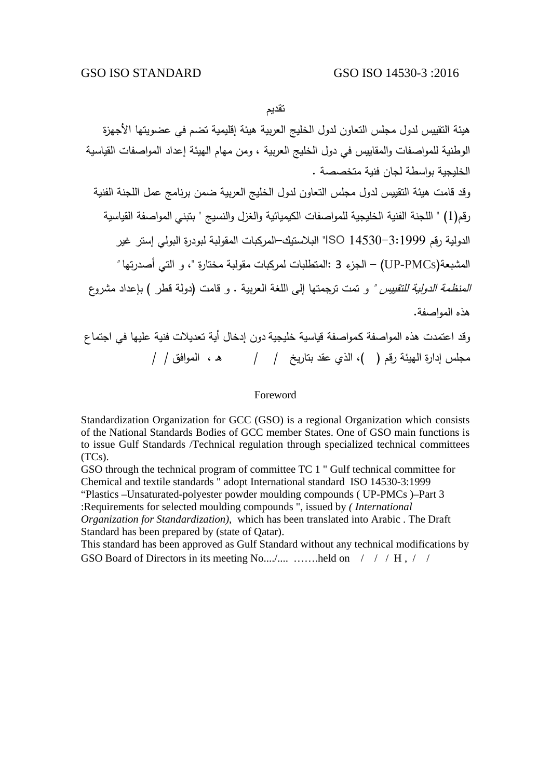تقديم

هيئة التقييس لدول مجلس التعاون لدول الخليج العربية هيئة إقليمية تضم في عضويتها الأجهزة الوطنية للمواصفات والمقاييس في دول الخليج العربية ، ومن مهام الهيئة إعداد المواصفات القياسية الخليجية بواسطة لجان فنية متخصصة . وقد قامت هيئة التقييس لدول مجلس التعاون لدول الخليج العربية ضمن برنامج عمل اللجنة الفنية رقم(1) " اللجنة الفنية الخليجية للمواصفات الكيميائية والغزل والنسيج " بتبني المواصفة القياسية الدولية رقم 14530-3:1999 ISO "البلاستيك–المركبات المقولبة لبودرة البولي إستر غير المشبعة(PMCs-UP – (الجزء 3 :المتطلبات لمركبات مقولبة مختارة "، و التي أصدرتها " *المنظمة الدولية للتقييس "* و تمت ترجمتها إلى اللغة العربية . و قامت (دولة قطر ) بإعداد مشروع هذه المواصفة. وقد اعتمدت هذه المواصفة كـمواصفة قياسية خليجية دون إدخال أية تعديلات فنية عليها في اجتماع مجلس إدارة الهيئة رقم ( )، الذي عقد بتاريخ / / هـ ، الموافق / /

#### Foreword

Standardization Organization for GCC (GSO) is a regional Organization which consists of the National Standards Bodies of GCC member States. One of GSO main functions is to issue Gulf Standards /Technical regulation through specialized technical committees (TCs).

GSO through the technical program of committee TC 1 " Gulf technical committee for Chemical and textile standards " adopt International standard ISO 14530-3:1999

"Plastics –Unsaturated-polyester powder moulding compounds ( UP-PMCs )–Part 3

:Requirements for selected moulding compounds ", issued by *( International* 

*Organization for Standardization)*, which has been translated into Arabic . The Draft Standard has been prepared by (state of Qatar).

This standard has been approved as Gulf Standard without any technical modifications by GSO Board of Directors in its meeting No..../.... ……..held on  $/ / / H$ ,  $/ /$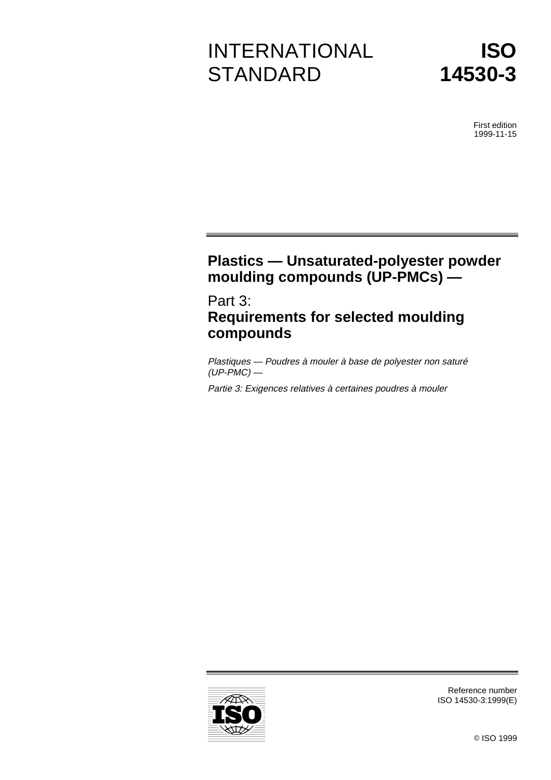# INTERNATIONAL **STANDARD**



First edition 1999-11-15

# **Plastics — Unsaturated-polyester powder moulding compounds (UP-PMCs) —**

Part 3: **Requirements for selected moulding compounds**

Plastiques — Poudres à mouler à base de polyester non saturé  $(UP-PMC)$  —

Partie 3: Exigences relatives à certaines poudres à mouler



ISO 14530-3:1999(E)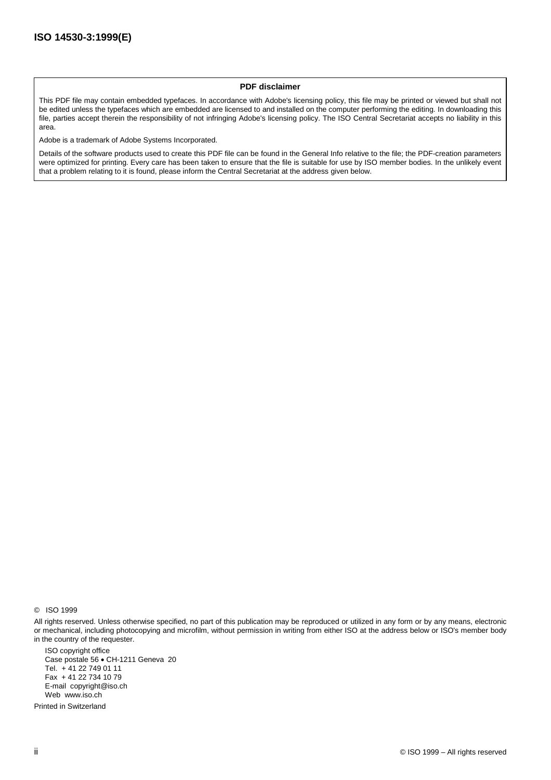#### **PDF disclaimer**

This PDF file may contain embedded typefaces. In accordance with Adobe's licensing policy, this file may be printed or viewed but shall not be edited unless the typefaces which are embedded are licensed to and installed on the computer performing the editing. In downloading this file, parties accept therein the responsibility of not infringing Adobe's licensing policy. The ISO Central Secretariat accepts no liability in this area.

Adobe is a trademark of Adobe Systems Incorporated.

Details of the software products used to create this PDF file can be found in the General Info relative to the file; the PDF-creation parameters were optimized for printing. Every care has been taken to ensure that the file is suitable for use by ISO member bodies. In the unlikely event that a problem relating to it is found, please inform the Central Secretariat at the address given below.

© ISO 1999

All rights reserved. Unless otherwise specified, no part of this publication may be reproduced or utilized in any form or by any means, electronic or mechanical, including photocopying and microfilm, without permission in writing from either ISO at the address below or ISO's member body in the country of the requester.

ISO copyright office Case postale 56 · CH-1211 Geneva 20 Tel. + 41 22 749 01 11 Fax + 41 22 734 10 79 E-mail copyright@iso.ch Web www.iso.ch

Printed in Switzerland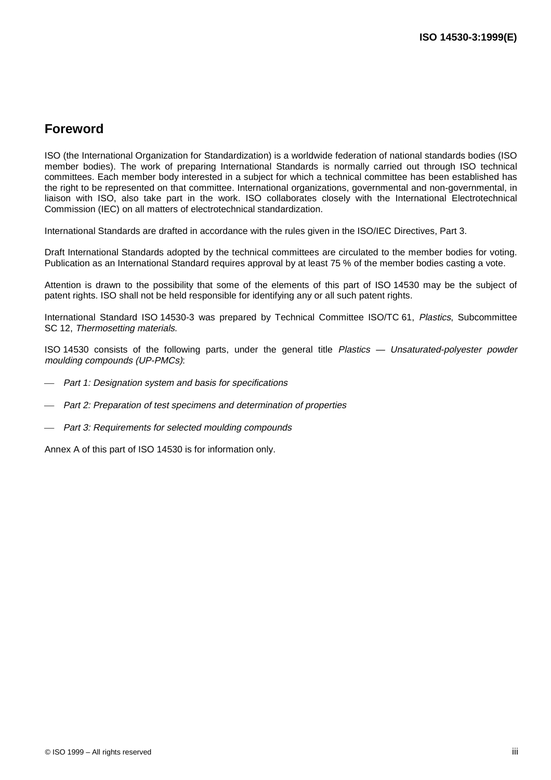## **Foreword**

ISO (the International Organization for Standardization) is a worldwide federation of national standards bodies (ISO member bodies). The work of preparing International Standards is normally carried out through ISO technical committees. Each member body interested in a subject for which a technical committee has been established has the right to be represented on that committee. International organizations, governmental and non-governmental, in liaison with ISO, also take part in the work. ISO collaborates closely with the International Electrotechnical Commission (IEC) on all matters of electrotechnical standardization.

International Standards are drafted in accordance with the rules given in the ISO/IEC Directives, Part 3.

Draft International Standards adopted by the technical committees are circulated to the member bodies for voting. Publication as an International Standard requires approval by at least 75 % of the member bodies casting a vote.

Attention is drawn to the possibility that some of the elements of this part of ISO 14530 may be the subject of patent rights. ISO shall not be held responsible for identifying any or all such patent rights.

International Standard ISO 14530-3 was prepared by Technical Committee ISO/TC 61, Plastics, Subcommittee SC 12, Thermosetting materials.

ISO 14530 consists of the following parts, under the general title Plastics — Unsaturated-polyester powder moulding compounds (UP-PMCs):

- Part 1: Designation system and basis for specifications
- Part 2: Preparation of test specimens and determination of properties
- Part 3: Requirements for selected moulding compounds

Annex A of this part of ISO 14530 is for information only.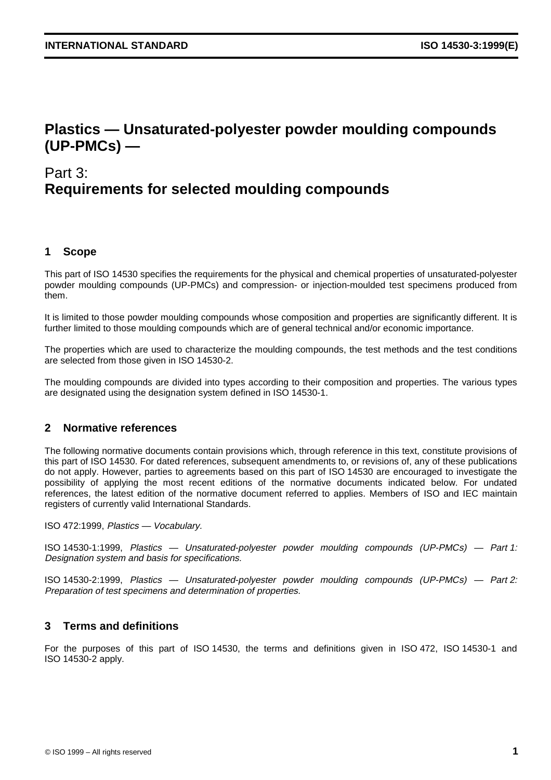## **Plastics — Unsaturated-polyester powder moulding compounds (UP-PMCs) —**

# Part 3: **Requirements for selected moulding compounds**

#### **1 Scope**

This part of ISO 14530 specifies the requirements for the physical and chemical properties of unsaturated-polyester powder moulding compounds (UP-PMCs) and compression- or injection-moulded test specimens produced from them.

It is limited to those powder moulding compounds whose composition and properties are significantly different. It is further limited to those moulding compounds which are of general technical and/or economic importance.

The properties which are used to characterize the moulding compounds, the test methods and the test conditions are selected from those given in ISO 14530-2.

The moulding compounds are divided into types according to their composition and properties. The various types are designated using the designation system defined in ISO 14530-1.

#### **2 Normative references**

The following normative documents contain provisions which, through reference in this text, constitute provisions of this part of ISO 14530. For dated references, subsequent amendments to, or revisions of, any of these publications do not apply. However, parties to agreements based on this part of ISO 14530 are encouraged to investigate the possibility of applying the most recent editions of the normative documents indicated below. For undated references, the latest edition of the normative document referred to applies. Members of ISO and IEC maintain registers of currently valid International Standards.

ISO 472:1999, Plastics — Vocabulary.

ISO 14530-1:1999, Plastics — Unsaturated-polyester powder moulding compounds (UP-PMCs) — Part 1: Designation system and basis for specifications.

ISO 14530-2:1999, Plastics — Unsaturated-polyester powder moulding compounds (UP-PMCs) — Part 2: Preparation of test specimens and determination of properties.

#### **3 Terms and definitions**

For the purposes of this part of ISO 14530, the terms and definitions given in ISO 472, ISO 14530-1 and ISO 14530-2 apply.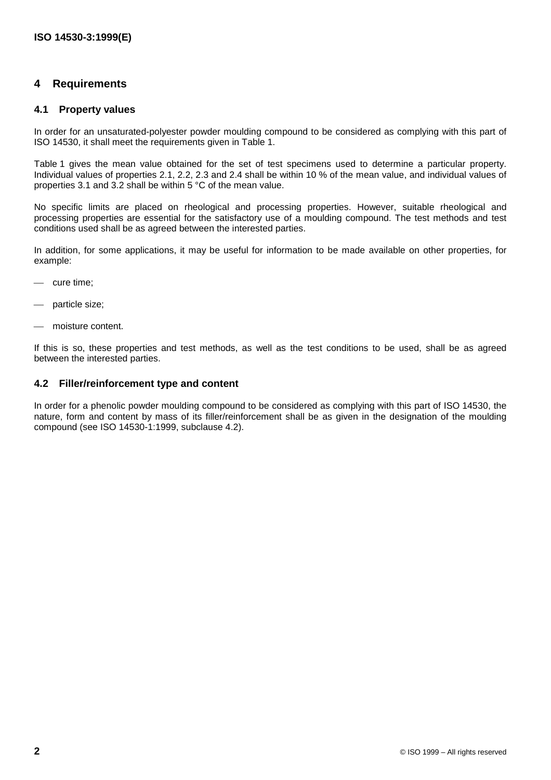#### **4 Requirements**

#### **4.1 Property values**

In order for an unsaturated-polyester powder moulding compound to be considered as complying with this part of ISO 14530, it shall meet the requirements given in Table 1.

Table 1 gives the mean value obtained for the set of test specimens used to determine a particular property. Individual values of properties 2.1, 2.2, 2.3 and 2.4 shall be within 10 % of the mean value, and individual values of properties 3.1 and 3.2 shall be within 5 °C of the mean value.

No specific limits are placed on rheological and processing properties. However, suitable rheological and processing properties are essential for the satisfactory use of a moulding compound. The test methods and test conditions used shall be as agreed between the interested parties.

In addition, for some applications, it may be useful for information to be made available on other properties, for example:

- cure time;
- particle size;
- moisture content.

If this is so, these properties and test methods, as well as the test conditions to be used, shall be as agreed between the interested parties.

#### **4.2 Filler/reinforcement type and content**

In order for a phenolic powder moulding compound to be considered as complying with this part of ISO 14530, the nature, form and content by mass of its filler/reinforcement shall be as given in the designation of the moulding compound (see ISO 14530-1:1999, subclause 4.2).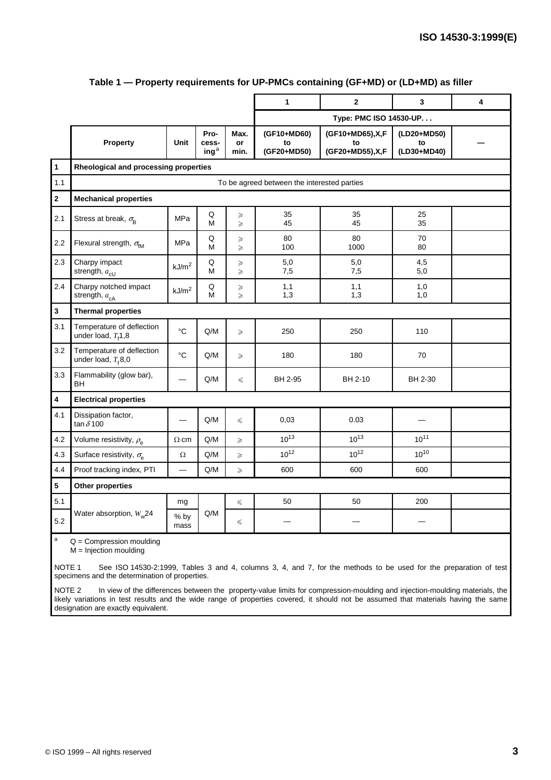|                |                                                    |                   |                                              |                            | 1                                | $\mathbf{2}$                                 | 3                                | 4 |  |
|----------------|----------------------------------------------------|-------------------|----------------------------------------------|----------------------------|----------------------------------|----------------------------------------------|----------------------------------|---|--|
|                |                                                    |                   |                                              | Type: PMC ISO 14530-UP     |                                  |                                              |                                  |   |  |
|                | Property                                           | Unit              | Pro-<br>cess-<br>$\mathsf{inq}^{\mathsf{a}}$ | Max.<br>or<br>min.         | (GF10+MD60)<br>to<br>(GF20+MD50) | (GF10+MD65), X, F<br>to<br>(GF20+MD55), X, F | (LD20+MD50)<br>to<br>(LD30+MD40) |   |  |
| $\overline{1}$ | Rheological and processing properties              |                   |                                              |                            |                                  |                                              |                                  |   |  |
| 1.1            | To be agreed between the interested parties        |                   |                                              |                            |                                  |                                              |                                  |   |  |
| $\mathbf 2$    | <b>Mechanical properties</b>                       |                   |                                              |                            |                                  |                                              |                                  |   |  |
| 2.1            | Stress at break, $\sigma_{\rm B}$                  | <b>MPa</b>        | Q<br>M                                       | ≥<br>$\geqslant$           | 35<br>45                         | 35<br>45                                     | 25<br>35                         |   |  |
| 2.2            | Flexural strength, $\sigma_{fM}$                   | MPa               | Q<br>М                                       | $\geqslant$<br>$\geq$      | 80<br>100                        | 80<br>1000                                   | 70<br>80                         |   |  |
| 2.3            | Charpy impact<br>strength, $a_{\text{cU}}$         | kJ/m <sup>2</sup> | $\sf Q$<br>M                                 | $\geqslant$<br>$\geq$      | 5,0<br>7,5                       | 5,0<br>7,5                                   | 4,5<br>5,0                       |   |  |
| 2.4            | Charpy notched impact<br>strength, $a_{cA}$        | kJ/m <sup>2</sup> | $\sf Q$<br>M                                 | $\geqslant$<br>$\geqslant$ | 1,1<br>1,3                       | 1,1<br>1,3                                   | 1,0<br>1,0                       |   |  |
| $\mathbf{3}$   | <b>Thermal properties</b>                          |                   |                                              |                            |                                  |                                              |                                  |   |  |
| 3.1            | Temperature of deflection<br>under load, $Tf1,8$   | $\circ$ C         | Q/M                                          | $\geq$                     | 250                              | 250                                          | 110                              |   |  |
| 3.2            | Temperature of deflection<br>under load, $T_f$ 8,0 | $^{\circ}C$       | Q/M                                          | $\geq$                     | 180                              | 180                                          | 70                               |   |  |
| 3.3            | Flammability (glow bar),<br><b>BH</b>              |                   | Q/M                                          | $\leq$                     | BH 2-95                          | BH 2-10                                      | BH 2-30                          |   |  |
| 4              | <b>Electrical properties</b>                       |                   |                                              |                            |                                  |                                              |                                  |   |  |
| 4.1            | Dissipation factor,<br>tan $\delta$ 100            |                   | Q/M                                          | $\leq$                     | 0,03                             | 0.03                                         |                                  |   |  |
| 4.2            | Volume resistivity, $\rho_{\rm e}$                 | $\Omega$ ·cm      | Q/M                                          | $\geqslant$                | $10^{13}$                        | $10^{13}$                                    | $10^{11}$                        |   |  |
| 4.3            | Surface resistivity, $\sigma$                      | $\Omega$          | Q/M                                          | $\geq$                     | $10^{12}$                        | $10^{12}$                                    | $10^{10}$                        |   |  |
| 4.4            | Proof tracking index, PTI                          |                   | Q/M                                          | $\geq$                     | 600                              | 600                                          | 600                              |   |  |
| 5              | Other properties                                   |                   |                                              |                            |                                  |                                              |                                  |   |  |
| 5.1            | Water absorption, $W_w$ 24                         | mg                | Q/M                                          | $\leq$                     | 50                               | 50                                           | 200                              |   |  |
| 5.2            |                                                    | % by<br>mass      |                                              | $\leq$                     |                                  |                                              |                                  |   |  |
| a              | $Q =$ Compression moulding                         |                   |                                              |                            |                                  |                                              |                                  |   |  |

#### **Table 1 — Property requirements for UP-PMCs containing (GF+MD) or (LD+MD) as filler**

M = Injection moulding

NOTE 1 See ISO 14530-2:1999, Tables 3 and 4, columns 3, 4, and 7, for the methods to be used for the preparation of test specimens and the determination of properties.

NOTE 2 In view of the differences between the property-value limits for compression-moulding and injection-moulding materials, the likely variations in test results and the wide range of properties covered, it should not be assumed that materials having the same designation are exactly equivalent.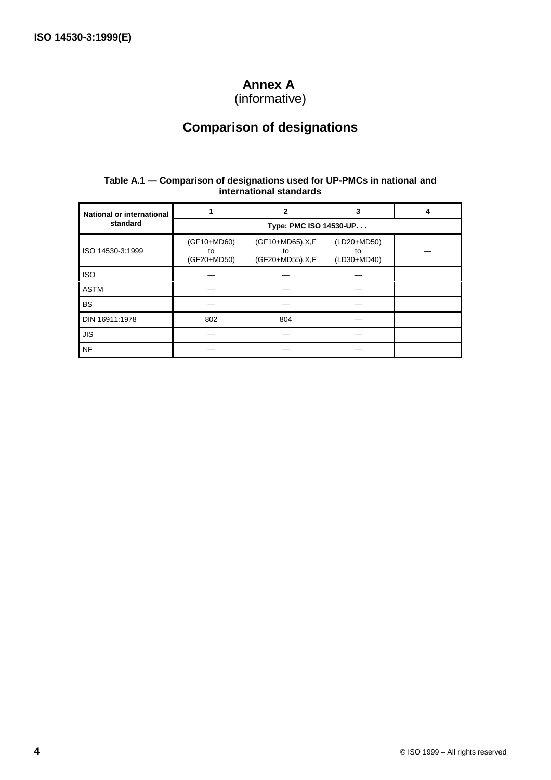## **Annex A**

(informative)

## **Comparison of designations**

#### **Table A.1 — Comparison of designations used for UP-PMCs in national and international standards**

| <b>National or international</b> |                                  | 2                                            | 3                                |  |  |  |  |  |
|----------------------------------|----------------------------------|----------------------------------------------|----------------------------------|--|--|--|--|--|
| standard                         | Type: PMC ISO 14530-UP           |                                              |                                  |  |  |  |  |  |
| ISO 14530-3:1999                 | (GF10+MD60)<br>to<br>(GF20+MD50) | (GF10+MD65), X, F<br>to<br>(GF20+MD55), X, F | (LD20+MD50)<br>to<br>(LD30+MD40) |  |  |  |  |  |
| <b>ISO</b>                       |                                  |                                              |                                  |  |  |  |  |  |
| <b>ASTM</b>                      |                                  |                                              |                                  |  |  |  |  |  |
| <b>BS</b>                        |                                  |                                              |                                  |  |  |  |  |  |
| DIN 16911:1978                   | 802                              | 804                                          |                                  |  |  |  |  |  |
| <b>JIS</b>                       |                                  |                                              |                                  |  |  |  |  |  |
| <b>NF</b>                        |                                  |                                              |                                  |  |  |  |  |  |